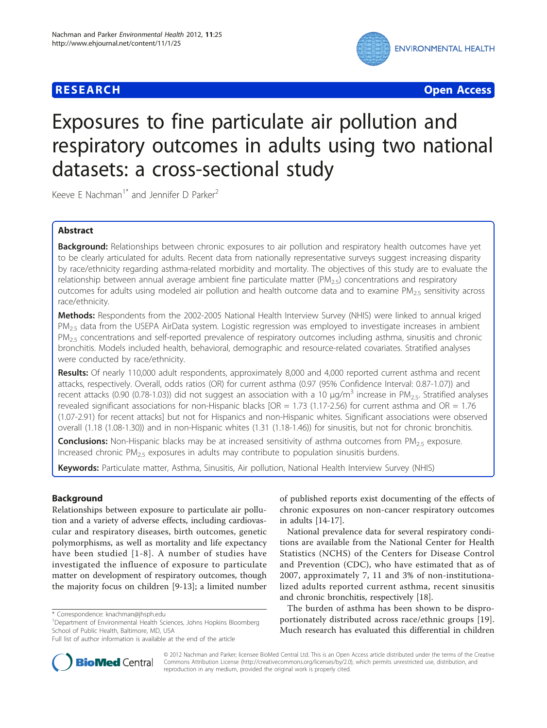

**RESEARCH CONTROL** CONTROL CONTROL CONTROL CONTROL CONTROL CONTROL CONTROL CONTROL CONTROL CONTROL CONTROL CONTROL CONTROL CONTROL CONTROL CONTROL CONTROL CONTROL CONTROL CONTROL CONTROL CONTROL CONTROL CONTROL CONTROL CON

# Exposures to fine particulate air pollution and respiratory outcomes in adults using two national datasets: a cross-sectional study

Keeve E Nachman<sup>1\*</sup> and Jennifer D Parker<sup>2</sup>

# Abstract

Background: Relationships between chronic exposures to air pollution and respiratory health outcomes have yet to be clearly articulated for adults. Recent data from nationally representative surveys suggest increasing disparity by race/ethnicity regarding asthma-related morbidity and mortality. The objectives of this study are to evaluate the relationship between annual average ambient fine particulate matter ( $PM_{2.5}$ ) concentrations and respiratory outcomes for adults using modeled air pollution and health outcome data and to examine  $PM_{2.5}$  sensitivity across race/ethnicity.

Methods: Respondents from the 2002-2005 National Health Interview Survey (NHIS) were linked to annual kriged PM<sub>2.5</sub> data from the USEPA AirData system. Logistic regression was employed to investigate increases in ambient PM<sub>2.5</sub> concentrations and self-reported prevalence of respiratory outcomes including asthma, sinusitis and chronic bronchitis. Models included health, behavioral, demographic and resource-related covariates. Stratified analyses were conducted by race/ethnicity.

Results: Of nearly 110,000 adult respondents, approximately 8,000 and 4,000 reported current asthma and recent attacks, respectively. Overall, odds ratios (OR) for current asthma (0.97 (95% Confidence Interval: 0.87-1.07)) and recent attacks (0.90 (0.78-1.03)) did not suggest an association with a 10  $\mu$ g/m<sup>3</sup> increase in PM<sub>2.5</sub>. Stratified analyses revealed significant associations for non-Hispanic blacks [OR = 1.73 (1.17-2.56) for current asthma and OR = 1.76 (1.07-2.91) for recent attacks] but not for Hispanics and non-Hispanic whites. Significant associations were observed overall (1.18 (1.08-1.30)) and in non-Hispanic whites (1.31 (1.18-1.46)) for sinusitis, but not for chronic bronchitis.

**Conclusions:** Non-Hispanic blacks may be at increased sensitivity of asthma outcomes from  $PM_{2.5}$  exposure. Increased chronic PM2.5 exposures in adults may contribute to population sinusitis burdens.

Keywords: Particulate matter, Asthma, Sinusitis, Air pollution, National Health Interview Survey (NHIS)

# Background

Relationships between exposure to particulate air pollution and a variety of adverse effects, including cardiovascular and respiratory diseases, birth outcomes, genetic polymorphisms, as well as mortality and life expectancy have been studied [[1](#page-9-0)-[8\]](#page-10-0). A number of studies have investigated the influence of exposure to particulate matter on development of respiratory outcomes, though the majority focus on children [[9-13](#page-10-0)]; a limited number

\* Correspondence: [knachman@jhsph.edu](mailto:knachman@jhsph.edu)

<sup>1</sup>Department of Environmental Health Sciences, Johns Hopkins Bloomberg School of Public Health, Baltimore, MD, USA



National prevalence data for several respiratory conditions are available from the National Center for Health Statistics (NCHS) of the Centers for Disease Control and Prevention (CDC), who have estimated that as of 2007, approximately 7, 11 and 3% of non-institutionalized adults reported current asthma, recent sinusitis and chronic bronchitis, respectively [[18\]](#page-10-0).

The burden of asthma has been shown to be disproportionately distributed across race/ethnic groups [[19](#page-10-0)]. Much research has evaluated this differential in children



© 2012 Nachman and Parker; licensee BioMed Central Ltd. This is an Open Access article distributed under the terms of the Creative Commons Attribution License [\(http://creativecommons.org/licenses/by/2.0](http://creativecommons.org/licenses/by/2.0)), which permits unrestricted use, distribution, and reproduction in any medium, provided the original work is properly cited.

Full list of author information is available at the end of the article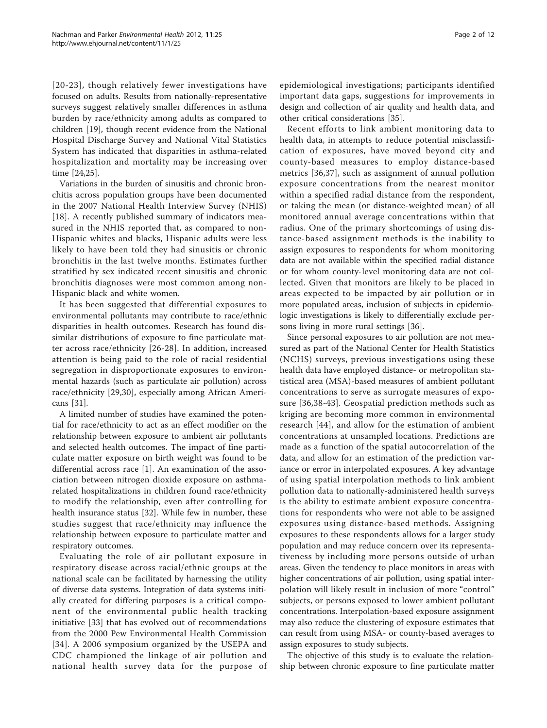[[20](#page-10-0)-[23\]](#page-10-0), though relatively fewer investigations have focused on adults. Results from nationally-representative surveys suggest relatively smaller differences in asthma burden by race/ethnicity among adults as compared to children [[19\]](#page-10-0), though recent evidence from the National Hospital Discharge Survey and National Vital Statistics System has indicated that disparities in asthma-related hospitalization and mortality may be increasing over time [\[24,25\]](#page-10-0).

Variations in the burden of sinusitis and chronic bronchitis across population groups have been documented in the 2007 National Health Interview Survey (NHIS) [[18](#page-10-0)]. A recently published summary of indicators measured in the NHIS reported that, as compared to non-Hispanic whites and blacks, Hispanic adults were less likely to have been told they had sinusitis or chronic bronchitis in the last twelve months. Estimates further stratified by sex indicated recent sinusitis and chronic bronchitis diagnoses were most common among non-Hispanic black and white women.

It has been suggested that differential exposures to environmental pollutants may contribute to race/ethnic disparities in health outcomes. Research has found dissimilar distributions of exposure to fine particulate matter across race/ethnicity [[26-28](#page-10-0)]. In addition, increased attention is being paid to the role of racial residential segregation in disproportionate exposures to environmental hazards (such as particulate air pollution) across race/ethnicity [[29,30\]](#page-10-0), especially among African Americans [[31\]](#page-10-0).

A limited number of studies have examined the potential for race/ethnicity to act as an effect modifier on the relationship between exposure to ambient air pollutants and selected health outcomes. The impact of fine particulate matter exposure on birth weight was found to be differential across race [[1\]](#page-9-0). An examination of the association between nitrogen dioxide exposure on asthmarelated hospitalizations in children found race/ethnicity to modify the relationship, even after controlling for health insurance status [\[32](#page-10-0)]. While few in number, these studies suggest that race/ethnicity may influence the relationship between exposure to particulate matter and respiratory outcomes.

Evaluating the role of air pollutant exposure in respiratory disease across racial/ethnic groups at the national scale can be facilitated by harnessing the utility of diverse data systems. Integration of data systems initially created for differing purposes is a critical component of the environmental public health tracking initiative [\[33](#page-10-0)] that has evolved out of recommendations from the 2000 Pew Environmental Health Commission [[34](#page-10-0)]. A 2006 symposium organized by the USEPA and CDC championed the linkage of air pollution and national health survey data for the purpose of

epidemiological investigations; participants identified important data gaps, suggestions for improvements in design and collection of air quality and health data, and other critical considerations [\[35](#page-10-0)].

Recent efforts to link ambient monitoring data to health data, in attempts to reduce potential misclassification of exposures, have moved beyond city and county-based measures to employ distance-based metrics [\[36,37](#page-10-0)], such as assignment of annual pollution exposure concentrations from the nearest monitor within a specified radial distance from the respondent, or taking the mean (or distance-weighted mean) of all monitored annual average concentrations within that radius. One of the primary shortcomings of using distance-based assignment methods is the inability to assign exposures to respondents for whom monitoring data are not available within the specified radial distance or for whom county-level monitoring data are not collected. Given that monitors are likely to be placed in areas expected to be impacted by air pollution or in more populated areas, inclusion of subjects in epidemiologic investigations is likely to differentially exclude persons living in more rural settings [\[36\]](#page-10-0).

Since personal exposures to air pollution are not measured as part of the National Center for Health Statistics (NCHS) surveys, previous investigations using these health data have employed distance- or metropolitan statistical area (MSA)-based measures of ambient pollutant concentrations to serve as surrogate measures of exposure [[36,38-43\]](#page-10-0). Geospatial prediction methods such as kriging are becoming more common in environmental research [\[44\]](#page-10-0), and allow for the estimation of ambient concentrations at unsampled locations. Predictions are made as a function of the spatial autocorrelation of the data, and allow for an estimation of the prediction variance or error in interpolated exposures. A key advantage of using spatial interpolation methods to link ambient pollution data to nationally-administered health surveys is the ability to estimate ambient exposure concentrations for respondents who were not able to be assigned exposures using distance-based methods. Assigning exposures to these respondents allows for a larger study population and may reduce concern over its representativeness by including more persons outside of urban areas. Given the tendency to place monitors in areas with higher concentrations of air pollution, using spatial interpolation will likely result in inclusion of more "control" subjects, or persons exposed to lower ambient pollutant concentrations. Interpolation-based exposure assignment may also reduce the clustering of exposure estimates that can result from using MSA- or county-based averages to assign exposures to study subjects.

The objective of this study is to evaluate the relationship between chronic exposure to fine particulate matter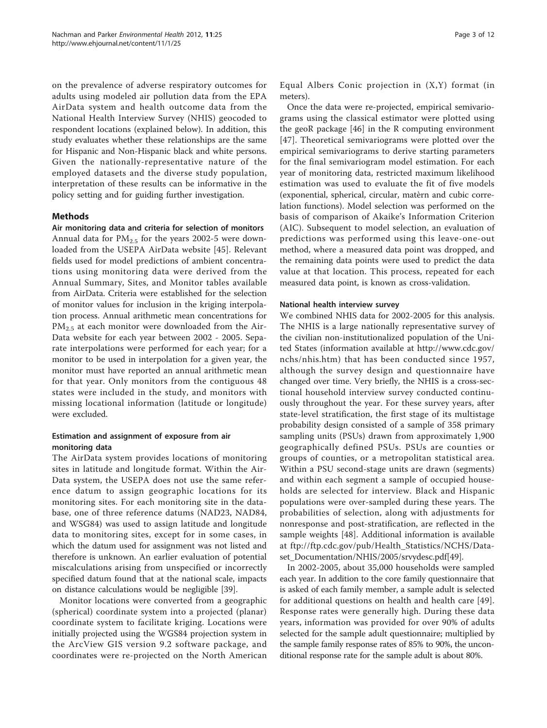on the prevalence of adverse respiratory outcomes for adults using modeled air pollution data from the EPA AirData system and health outcome data from the National Health Interview Survey (NHIS) geocoded to respondent locations (explained below). In addition, this study evaluates whether these relationships are the same for Hispanic and Non-Hispanic black and white persons. Given the nationally-representative nature of the employed datasets and the diverse study population, interpretation of these results can be informative in the policy setting and for guiding further investigation.

# **Methods**

Air monitoring data and criteria for selection of monitors Annual data for  $PM<sub>2.5</sub>$  for the years 2002-5 were downloaded from the USEPA AirData website [[45\]](#page-10-0). Relevant fields used for model predictions of ambient concentrations using monitoring data were derived from the Annual Summary, Sites, and Monitor tables available from AirData. Criteria were established for the selection of monitor values for inclusion in the kriging interpolation process. Annual arithmetic mean concentrations for  $PM_{2.5}$  at each monitor were downloaded from the Air-Data website for each year between 2002 - 2005. Separate interpolations were performed for each year; for a monitor to be used in interpolation for a given year, the monitor must have reported an annual arithmetic mean for that year. Only monitors from the contiguous 48 states were included in the study, and monitors with missing locational information (latitude or longitude) were excluded.

# Estimation and assignment of exposure from air monitoring data

The AirData system provides locations of monitoring sites in latitude and longitude format. Within the Air-Data system, the USEPA does not use the same reference datum to assign geographic locations for its monitoring sites. For each monitoring site in the database, one of three reference datums (NAD23, NAD84, and WSG84) was used to assign latitude and longitude data to monitoring sites, except for in some cases, in which the datum used for assignment was not listed and therefore is unknown. An earlier evaluation of potential miscalculations arising from unspecified or incorrectly specified datum found that at the national scale, impacts on distance calculations would be negligible [[39\]](#page-10-0).

Monitor locations were converted from a geographic (spherical) coordinate system into a projected (planar) coordinate system to facilitate kriging. Locations were initially projected using the WGS84 projection system in the ArcView GIS version 9.2 software package, and coordinates were re-projected on the North American Page 3 of 12

Equal Albers Conic projection in (X,Y) format (in meters).

Once the data were re-projected, empirical semivariograms using the classical estimator were plotted using the geoR package [\[46](#page-10-0)] in the R computing environment [[47](#page-10-0)]. Theoretical semivariograms were plotted over the empirical semivariograms to derive starting parameters for the final semivariogram model estimation. For each year of monitoring data, restricted maximum likelihood estimation was used to evaluate the fit of five models (exponential, spherical, circular, matèrn and cubic correlation functions). Model selection was performed on the basis of comparison of Akaike's Information Criterion (AIC). Subsequent to model selection, an evaluation of predictions was performed using this leave-one-out method, where a measured data point was dropped, and the remaining data points were used to predict the data value at that location. This process, repeated for each measured data point, is known as cross-validation.

#### National health interview survey

We combined NHIS data for 2002-2005 for this analysis. The NHIS is a large nationally representative survey of the civilian non-institutionalized population of the United States (information available at [http://www.cdc.gov/](http://www.cdc.gov/nchs/nhis.htm) [nchs/nhis.htm](http://www.cdc.gov/nchs/nhis.htm)) that has been conducted since 1957, although the survey design and questionnaire have changed over time. Very briefly, the NHIS is a cross-sectional household interview survey conducted continuously throughout the year. For these survey years, after state-level stratification, the first stage of its multistage probability design consisted of a sample of 358 primary sampling units (PSUs) drawn from approximately 1,900 geographically defined PSUs. PSUs are counties or groups of counties, or a metropolitan statistical area. Within a PSU second-stage units are drawn (segments) and within each segment a sample of occupied households are selected for interview. Black and Hispanic populations were over-sampled during these years. The probabilities of selection, along with adjustments for nonresponse and post-stratification, are reflected in the sample weights [[48\]](#page-10-0). Additional information is available at [ftp://ftp.cdc.gov/pub/Health\\_Statistics/NCHS/Data](ftp://ftp.cdc.gov/pub/Health_Statistics/NCHS/Dataset_Documentation/NHIS/2005/srvydesc.pdf)[set\\_Documentation/NHIS/2005/srvydesc.pdf\[](ftp://ftp.cdc.gov/pub/Health_Statistics/NCHS/Dataset_Documentation/NHIS/2005/srvydesc.pdf)[49\]](#page-10-0).

In 2002-2005, about 35,000 households were sampled each year. In addition to the core family questionnaire that is asked of each family member, a sample adult is selected for additional questions on health and health care [[49](#page-10-0)]. Response rates were generally high. During these data years, information was provided for over 90% of adults selected for the sample adult questionnaire; multiplied by the sample family response rates of 85% to 90%, the unconditional response rate for the sample adult is about 80%.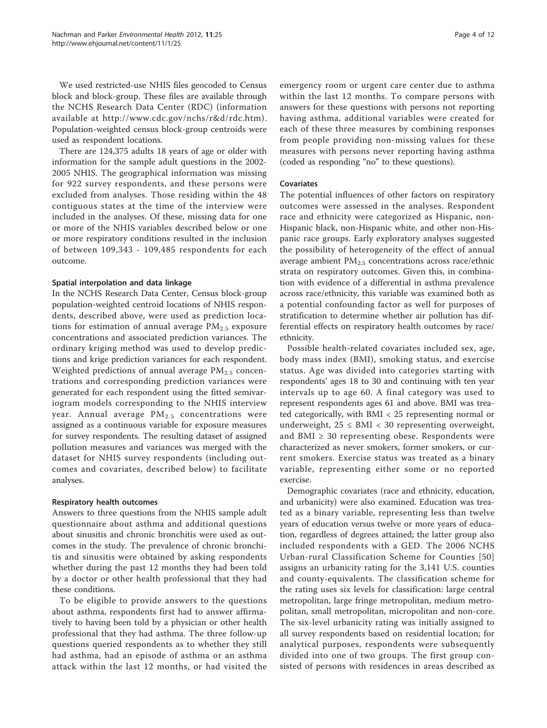We used restricted-use NHIS files geocoded to Census block and block-group. These files are available through the NCHS Research Data Center (RDC) (information available at [http://www.cdc.gov/nchs/r&d/rdc.htm\)](http://www.cdc.gov/nchs/r&d/rdc.htm). Population-weighted census block-group centroids were used as respondent locations.

There are 124,375 adults 18 years of age or older with information for the sample adult questions in the 2002- 2005 NHIS. The geographical information was missing for 922 survey respondents, and these persons were excluded from analyses. Those residing within the 48 contiguous states at the time of the interview were included in the analyses. Of these, missing data for one or more of the NHIS variables described below or one or more respiratory conditions resulted in the inclusion of between 109,343 - 109,485 respondents for each outcome.

#### Spatial interpolation and data linkage

In the NCHS Research Data Center, Census block-group population-weighted centroid locations of NHIS respondents, described above, were used as prediction locations for estimation of annual average  $PM_{2.5}$  exposure concentrations and associated prediction variances. The ordinary kriging method was used to develop predictions and krige prediction variances for each respondent. Weighted predictions of annual average  $PM_{2.5}$  concentrations and corresponding prediction variances were generated for each respondent using the fitted semivariogram models corresponding to the NHIS interview year. Annual average  $PM_{2.5}$  concentrations were assigned as a continuous variable for exposure measures for survey respondents. The resulting dataset of assigned pollution measures and variances was merged with the dataset for NHIS survey respondents (including outcomes and covariates, described below) to facilitate analyses.

#### Respiratory health outcomes

Answers to three questions from the NHIS sample adult questionnaire about asthma and additional questions about sinusitis and chronic bronchitis were used as outcomes in the study. The prevalence of chronic bronchitis and sinusitis were obtained by asking respondents whether during the past 12 months they had been told by a doctor or other health professional that they had these conditions.

To be eligible to provide answers to the questions about asthma, respondents first had to answer affirmatively to having been told by a physician or other health professional that they had asthma. The three follow-up questions queried respondents as to whether they still had asthma, had an episode of asthma or an asthma attack within the last 12 months, or had visited the emergency room or urgent care center due to asthma within the last 12 months. To compare persons with answers for these questions with persons not reporting having asthma, additional variables were created for each of these three measures by combining responses from people providing non-missing values for these measures with persons never reporting having asthma (coded as responding "no" to these questions).

#### Covariates

The potential influences of other factors on respiratory outcomes were assessed in the analyses. Respondent race and ethnicity were categorized as Hispanic, non-Hispanic black, non-Hispanic white, and other non-Hispanic race groups. Early exploratory analyses suggested the possibility of heterogeneity of the effect of annual average ambient  $PM_{2.5}$  concentrations across race/ethnic strata on respiratory outcomes. Given this, in combination with evidence of a differential in asthma prevalence across race/ethnicity, this variable was examined both as a potential confounding factor as well for purposes of stratification to determine whether air pollution has differential effects on respiratory health outcomes by race/ ethnicity.

Possible health-related covariates included sex, age, body mass index (BMI), smoking status, and exercise status. Age was divided into categories starting with respondents' ages 18 to 30 and continuing with ten year intervals up to age 60. A final category was used to represent respondents ages 61 and above. BMI was treated categorically, with BMI < 25 representing normal or underweight,  $25 \leq BMI < 30$  representing overweight, and BMI  $\geq$  30 representing obese. Respondents were characterized as never smokers, former smokers, or current smokers. Exercise status was treated as a binary variable, representing either some or no reported exercise.

Demographic covariates (race and ethnicity, education, and urbanicity) were also examined. Education was treated as a binary variable, representing less than twelve years of education versus twelve or more years of education, regardless of degrees attained; the latter group also included respondents with a GED. The 2006 NCHS Urban-rural Classification Scheme for Counties [[50](#page-10-0)] assigns an urbanicity rating for the 3,141 U.S. counties and county-equivalents. The classification scheme for the rating uses six levels for classification: large central metropolitan, large fringe metropolitan, medium metropolitan, small metropolitan, micropolitan and non-core. The six-level urbanicity rating was initially assigned to all survey respondents based on residential location; for analytical purposes, respondents were subsequently divided into one of two groups. The first group consisted of persons with residences in areas described as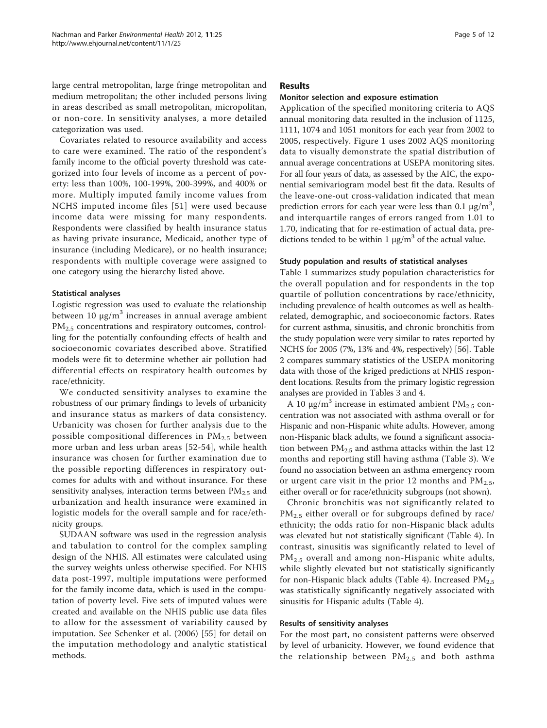large central metropolitan, large fringe metropolitan and medium metropolitan; the other included persons living in areas described as small metropolitan, micropolitan, or non-core. In sensitivity analyses, a more detailed categorization was used.

Covariates related to resource availability and access to care were examined. The ratio of the respondent's family income to the official poverty threshold was categorized into four levels of income as a percent of poverty: less than 100%, 100-199%, 200-399%, and 400% or more. Multiply imputed family income values from NCHS imputed income files [[51\]](#page-10-0) were used because income data were missing for many respondents. Respondents were classified by health insurance status as having private insurance, Medicaid, another type of insurance (including Medicare), or no health insurance; respondents with multiple coverage were assigned to one category using the hierarchy listed above.

# Statistical analyses

Logistic regression was used to evaluate the relationship between 10  $\mu$ g/m<sup>3</sup> increases in annual average ambient PM<sub>2.5</sub> concentrations and respiratory outcomes, controlling for the potentially confounding effects of health and socioeconomic covariates described above. Stratified models were fit to determine whether air pollution had differential effects on respiratory health outcomes by race/ethnicity.

We conducted sensitivity analyses to examine the robustness of our primary findings to levels of urbanicity and insurance status as markers of data consistency. Urbanicity was chosen for further analysis due to the possible compositional differences in  $PM_{2.5}$  between more urban and less urban areas [[52](#page-10-0)-[54](#page-10-0)], while health insurance was chosen for further examination due to the possible reporting differences in respiratory outcomes for adults with and without insurance. For these sensitivity analyses, interaction terms between  $PM_{2.5}$  and urbanization and health insurance were examined in logistic models for the overall sample and for race/ethnicity groups.

SUDAAN software was used in the regression analysis and tabulation to control for the complex sampling design of the NHIS. All estimates were calculated using the survey weights unless otherwise specified. For NHIS data post-1997, multiple imputations were performed for the family income data, which is used in the computation of poverty level. Five sets of imputed values were created and available on the NHIS public use data files to allow for the assessment of variability caused by imputation. See Schenker et al. (2006) [[55](#page-10-0)] for detail on the imputation methodology and analytic statistical methods.

#### Results

#### Monitor selection and exposure estimation

Application of the specified monitoring criteria to AQS annual monitoring data resulted in the inclusion of 1125, 1111, 1074 and 1051 monitors for each year from 2002 to 2005, respectively. Figure [1](#page-5-0) uses 2002 AQS monitoring data to visually demonstrate the spatial distribution of annual average concentrations at USEPA monitoring sites. For all four years of data, as assessed by the AIC, the exponential semivariogram model best fit the data. Results of the leave-one-out cross-validation indicated that mean prediction errors for each year were less than 0.1  $\mu$ g/m<sup>3</sup>, and interquartile ranges of errors ranged from 1.01 to 1.70, indicating that for re-estimation of actual data, predictions tended to be within 1  $\mu$ g/m<sup>3</sup> of the actual value.

#### Study population and results of statistical analyses

Table [1](#page-6-0) summarizes study population characteristics for the overall population and for respondents in the top quartile of pollution concentrations by race/ethnicity, including prevalence of health outcomes as well as healthrelated, demographic, and socioeconomic factors. Rates for current asthma, sinusitis, and chronic bronchitis from the study population were very similar to rates reported by NCHS for 2005 (7%, 13% and 4%, respectively) [\[56\]](#page-11-0). Table [2](#page-7-0) compares summary statistics of the USEPA monitoring data with those of the kriged predictions at NHIS respondent locations. Results from the primary logistic regression analyses are provided in Tables [3](#page-8-0) and [4](#page-8-0).

A 10 μg/m<sup>3</sup> increase in estimated ambient  $PM_{2.5}$  concentration was not associated with asthma overall or for Hispanic and non-Hispanic white adults. However, among non-Hispanic black adults, we found a significant association between  $PM_{2.5}$  and asthma attacks within the last 12 months and reporting still having asthma (Table [3\)](#page-8-0). We found no association between an asthma emergency room or urgent care visit in the prior 12 months and  $PM_{2.5}$ , either overall or for race/ethnicity subgroups (not shown).

Chronic bronchitis was not significantly related to  $PM_{2.5}$  either overall or for subgroups defined by race/ ethnicity; the odds ratio for non-Hispanic black adults was elevated but not statistically significant (Table [4](#page-8-0)). In contrast, sinusitis was significantly related to level of PM<sub>2.5</sub> overall and among non-Hispanic white adults, while slightly elevated but not statistically significantly for non-Hispanic black adults (Table [4](#page-8-0)). Increased  $PM_{2.5}$ was statistically significantly negatively associated with sinusitis for Hispanic adults (Table [4](#page-8-0)).

#### Results of sensitivity analyses

For the most part, no consistent patterns were observed by level of urbanicity. However, we found evidence that the relationship between  $PM_{2.5}$  and both asthma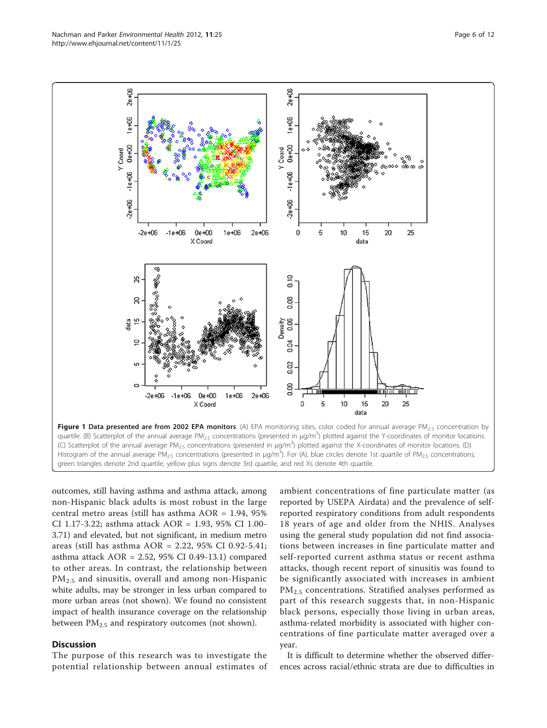outcomes, still having asthma and asthma attack, among non-Hispanic black adults is most robust in the large central metro areas (still has asthma  $AOR = 1.94, 95\%$ CI 1.17-3.22; asthma attack AOR = 1.93, 95% CI 1.00- 3.71) and elevated, but not significant, in medium metro areas (still has asthma AOR = 2.22, 95% CI 0.92-5.41; asthma attack AOR = 2.52, 95% CI 0.49-13.1) compared to other areas. In contrast, the relationship between  $PM_{2.5}$  and sinusitis, overall and among non-Hispanic white adults, may be stronger in less urban compared to more urban areas (not shown). We found no consistent impact of health insurance coverage on the relationship between  $PM_{2.5}$  and respiratory outcomes (not shown).

#### **Discussion**

The purpose of this research was to investigate the potential relationship between annual estimates of

ambient concentrations of fine particulate matter (as reported by USEPA Airdata) and the prevalence of selfreported respiratory conditions from adult respondents 18 years of age and older from the NHIS. Analyses using the general study population did not find associations between increases in fine particulate matter and self-reported current asthma status or recent asthma attacks, though recent report of sinusitis was found to be significantly associated with increases in ambient PM<sub>2.5</sub> concentrations. Stratified analyses performed as part of this research suggests that, in non-Hispanic black persons, especially those living in urban areas, asthma-related morbidity is associated with higher concentrations of fine particulate matter averaged over a year.

It is difficult to determine whether the observed differences across racial/ethnic strata are due to difficulties in

<span id="page-5-0"></span>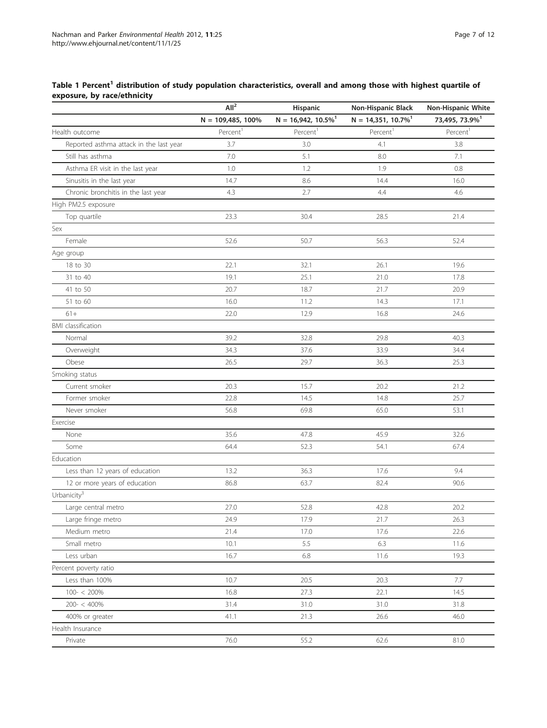# <span id="page-6-0"></span>Table 1 Percent<sup>1</sup> distribution of study population characteristics, overall and among those with highest quartile of exposure, by race/ethnicity

|                                         | All <sup>2</sup>     | Hispanic                          | Non-Hispanic Black                | Non-Hispanic White         |
|-----------------------------------------|----------------------|-----------------------------------|-----------------------------------|----------------------------|
|                                         | $N = 109,485, 100\%$ | $N = 16,942, 10.5\%$ <sup>1</sup> | $N = 14,351, 10.7\%$ <sup>1</sup> | 73,495, 73.9% <sup>1</sup> |
| Health outcome                          | Percent <sup>1</sup> | Percent <sup>1</sup>              | Percent <sup>1</sup>              | Percent <sup>1</sup>       |
| Reported asthma attack in the last year | 3.7                  | 3.0                               | 4.1                               | 3.8                        |
| Still has asthma                        | 7.0                  | 5.1                               | 8.0                               | 7.1                        |
| Asthma ER visit in the last year        | 1.0                  | 1.2                               | 1.9                               | 0.8                        |
| Sinusitis in the last year              | 14.7                 | 8.6                               | 14.4                              | 16.0                       |
| Chronic bronchitis in the last year     | 4.3                  | 2.7                               | 4.4                               | 4.6                        |
| High PM2.5 exposure                     |                      |                                   |                                   |                            |
| Top quartile                            | 23.3                 | 30.4                              | 28.5                              | 21.4                       |
| Sex                                     |                      |                                   |                                   |                            |
| Female                                  | 52.6                 | 50.7                              | 56.3                              | 52.4                       |
| Age group                               |                      |                                   |                                   |                            |
| 18 to 30                                | 22.1                 | 32.1                              | 26.1                              | 19.6                       |
| 31 to 40                                | 19.1                 | 25.1                              | 21.0                              | 17.8                       |
| 41 to 50                                | 20.7                 | 18.7                              | 21.7                              | 20.9                       |
| 51 to 60                                | 16.0                 | 11.2                              | 14.3                              | 17.1                       |
| $61+$                                   | 22.0                 | 12.9                              | 16.8                              | 24.6                       |
| BMI classification                      |                      |                                   |                                   |                            |
| Normal                                  | 39.2                 | 32.8                              | 29.8                              | 40.3                       |
| Overweight                              | 34.3                 | 37.6                              | 33.9                              | 34.4                       |
| Obese                                   | 26.5                 | 29.7                              | 36.3                              | 25.3                       |
| Smoking status                          |                      |                                   |                                   |                            |
| Current smoker                          | 20.3                 | 15.7                              | 20.2                              | 21.2                       |
| Former smoker                           | 22.8                 | 14.5                              | 14.8                              | 25.7                       |
| Never smoker                            | 56.8                 | 69.8                              | 65.0                              | 53.1                       |
| Exercise                                |                      |                                   |                                   |                            |
| None                                    | 35.6                 | 47.8                              | 45.9                              | 32.6                       |
| Some                                    | 64.4                 | 52.3                              | 54.1                              | 67.4                       |
| Education                               |                      |                                   |                                   |                            |
| Less than 12 years of education         | 13.2                 | 36.3                              | 17.6                              | 9.4                        |
| 12 or more years of education           | 86.8                 | 63.7                              | 82.4                              | 90.6                       |
| Urbanicity $3$                          |                      |                                   |                                   |                            |
| Large central metro                     | 27.0                 | 52.8                              | 42.8                              | 20.2                       |
| Large fringe metro                      | 24.9                 | 17.9                              | 21.7                              | 26.3                       |
| Medium metro                            | 21.4                 | 17.0                              | 17.6                              | 22.6                       |
| Small metro                             | 10.1                 | 5.5                               | 6.3                               | 11.6                       |
| Less urban                              | 16.7                 | 6.8                               | 11.6                              | 19.3                       |
| Percent poverty ratio                   |                      |                                   |                                   |                            |
| Less than 100%                          | 10.7                 | 20.5                              | 20.3                              | 7.7                        |
| $100 - 200%$                            | 16.8                 | 27.3                              | 22.1                              | 14.5                       |
| $200 - < 400\%$                         | 31.4                 | 31.0                              | 31.0                              | 31.8                       |
| 400% or greater                         | 41.1                 | 21.3                              | 26.6                              | 46.0                       |
| Health Insurance                        |                      |                                   |                                   |                            |
| Private                                 | 76.0                 | 55.2                              | 62.6                              | 81.0                       |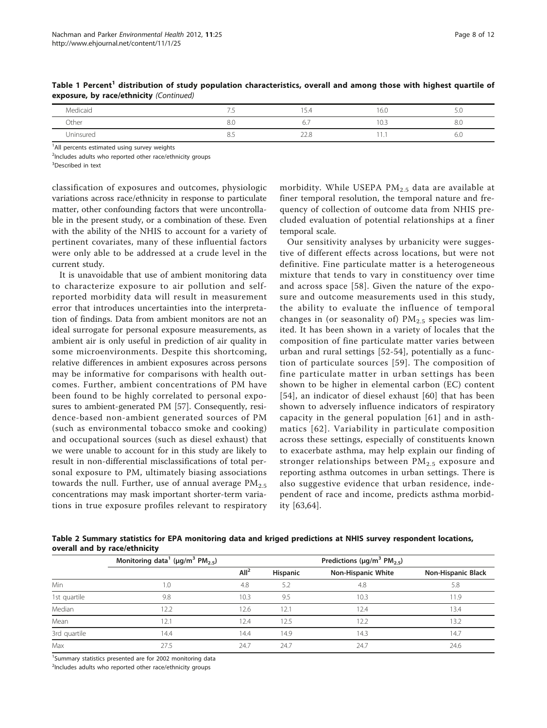| Medicaid  | $-$<br>ر. ا | 15A<br>-. ب | 16.0 | -<br>ں.ر |
|-----------|-------------|-------------|------|----------|
| Other     | 8.0         | о.,         | 0.3  | ŏ.l      |
| Uninsured | O.J         | 220<br>22.0 | .    | 6.0      |

<span id="page-7-0"></span>Table 1 Percent<sup>1</sup> distribution of study population characteristics, overall and among those with highest quartile of exposure, by race/ethnicity (Continued)

<sup>1</sup> All percents estimated using survey weights

<sup>2</sup>Includes adults who reported other race/ethnicity groups

3 Described in text

classification of exposures and outcomes, physiologic variations across race/ethnicity in response to particulate matter, other confounding factors that were uncontrollable in the present study, or a combination of these. Even with the ability of the NHIS to account for a variety of pertinent covariates, many of these influential factors were only able to be addressed at a crude level in the current study.

It is unavoidable that use of ambient monitoring data to characterize exposure to air pollution and selfreported morbidity data will result in measurement error that introduces uncertainties into the interpretation of findings. Data from ambient monitors are not an ideal surrogate for personal exposure measurements, as ambient air is only useful in prediction of air quality in some microenvironments. Despite this shortcoming, relative differences in ambient exposures across persons may be informative for comparisons with health outcomes. Further, ambient concentrations of PM have been found to be highly correlated to personal exposures to ambient-generated PM [\[57\]](#page-11-0). Consequently, residence-based non-ambient generated sources of PM (such as environmental tobacco smoke and cooking) and occupational sources (such as diesel exhaust) that we were unable to account for in this study are likely to result in non-differential misclassifications of total personal exposure to PM, ultimately biasing associations towards the null. Further, use of annual average  $PM_{2.5}$ concentrations may mask important shorter-term variations in true exposure profiles relevant to respiratory morbidity. While USEPA  $PM_{2.5}$  data are available at finer temporal resolution, the temporal nature and frequency of collection of outcome data from NHIS precluded evaluation of potential relationships at a finer temporal scale.

Our sensitivity analyses by urbanicity were suggestive of different effects across locations, but were not definitive. Fine particulate matter is a heterogeneous mixture that tends to vary in constituency over time and across space [[58](#page-11-0)]. Given the nature of the exposure and outcome measurements used in this study, the ability to evaluate the influence of temporal changes in (or seasonality of)  $PM_{2.5}$  species was limited. It has been shown in a variety of locales that the composition of fine particulate matter varies between urban and rural settings [[52](#page-10-0)-[54\]](#page-10-0), potentially as a function of particulate sources [[59\]](#page-11-0). The composition of fine particulate matter in urban settings has been shown to be higher in elemental carbon (EC) content [[54](#page-10-0)], an indicator of diesel exhaust [[60](#page-11-0)] that has been shown to adversely influence indicators of respiratory capacity in the general population [[61](#page-11-0)] and in asthmatics [[62](#page-11-0)]. Variability in particulate composition across these settings, especially of constituents known to exacerbate asthma, may help explain our finding of stronger relationships between  $PM_{2.5}$  exposure and reporting asthma outcomes in urban settings. There is also suggestive evidence that urban residence, independent of race and income, predicts asthma morbidity [[63,64](#page-11-0)].

Table 2 Summary statistics for EPA monitoring data and kriged predictions at NHIS survey respondent locations, overall and by race/ethnicity

|              | Monitoring data <sup>1</sup> ( $\mu$ g/m <sup>3</sup> PM <sub>2.5</sub> ) |                  |                 | Predictions ( $\mu$ g/m <sup>3</sup> PM <sub>2.5</sub> ) |                    |
|--------------|---------------------------------------------------------------------------|------------------|-----------------|----------------------------------------------------------|--------------------|
|              |                                                                           | All <sup>2</sup> | <b>Hispanic</b> | <b>Non-Hispanic White</b>                                | Non-Hispanic Black |
| Min          | 1.0                                                                       | 4.8              | 5.2             | 4.8                                                      | 5.8                |
| 1st quartile | 9.8                                                                       | 10.3             | 9.5             | 10.3                                                     | 11.9               |
| Median       | 12.2                                                                      | 12.6             | 12.1            | 12.4                                                     | 13.4               |
| Mean         | 12.1                                                                      | 12.4             | 12.5            | 12.2                                                     | 13.2               |
| 3rd quartile | 14.4                                                                      | 14.4             | 14.9            | 14.3                                                     | 14.7               |
| Max          | 27.5                                                                      | 24.7             | 24.7            | 24.7                                                     | 24.6               |

<sup>1</sup>Summary statistics presented are for 2002 monitoring data

<sup>2</sup>Includes adults who reported other race/ethnicity groups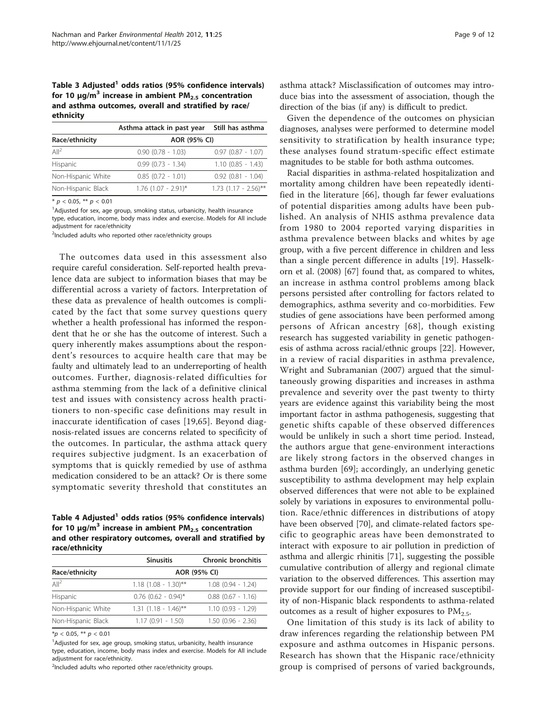<span id="page-8-0"></span>Table 3 Adjusted<sup>1</sup> odds ratios (95% confidence intervals) for 10 μg/m<sup>3</sup> increase in ambient  $PM<sub>2.5</sub>$  concentration and asthma outcomes, overall and stratified by race/ ethnicity

|                    | Asthma attack in past year | Still has asthma       |  |  |  |
|--------------------|----------------------------|------------------------|--|--|--|
| Race/ethnicity     | AOR (95% CI)               |                        |  |  |  |
| $All^2$            | $0.90$ $(0.78 - 1.03)$     | $0.97$ $(0.87 - 1.07)$ |  |  |  |
| Hispanic           | $0.99$ $(0.73 - 1.34)$     | $1.10$ (0.85 - 1.43)   |  |  |  |
| Non-Hispanic White | $0.85$ $(0.72 - 1.01)$     | $0.92$ $(0.81 - 1.04)$ |  |  |  |
| Non-Hispanic Black | $1.76$ (1.07 - 2.91)*      | $1.73$ (1.17 - 2.56)** |  |  |  |

\*  $p < 0.05$ , \*\*  $p < 0.01$ 

<sup>1</sup>Adjusted for sex, age group, smoking status, urbanicity, health insurance type, education, income, body mass index and exercise. Models for All include adjustment for race/ethnicity

<sup>2</sup>Included adults who reported other race/ethnicity groups

The outcomes data used in this assessment also require careful consideration. Self-reported health prevalence data are subject to information biases that may be differential across a variety of factors. Interpretation of these data as prevalence of health outcomes is complicated by the fact that some survey questions query whether a health professional has informed the respondent that he or she has the outcome of interest. Such a query inherently makes assumptions about the respondent's resources to acquire health care that may be faulty and ultimately lead to an underreporting of health outcomes. Further, diagnosis-related difficulties for asthma stemming from the lack of a definitive clinical test and issues with consistency across health practitioners to non-specific case definitions may result in inaccurate identification of cases [[19](#page-10-0),[65\]](#page-11-0). Beyond diagnosis-related issues are concerns related to specificity of the outcomes. In particular, the asthma attack query requires subjective judgment. Is an exacerbation of symptoms that is quickly remedied by use of asthma medication considered to be an attack? Or is there some symptomatic severity threshold that constitutes an

Table 4 Adjusted $<sup>1</sup>$  odds ratios (95% confidence intervals)</sup> for 10 μg/m<sup>3</sup> increase in ambient  $PM<sub>2.5</sub>$  concentration and other respiratory outcomes, overall and stratified by race/ethnicity

|                    | <b>Sinusitis</b>          | Chronic bronchitis     |  |  |
|--------------------|---------------------------|------------------------|--|--|
| Race/ethnicity     | AOR (95% CI)              |                        |  |  |
| All <sup>2</sup>   | $1.18$ (1.08 - 1.30)**    | $1.08$ $(0.94 - 1.24)$ |  |  |
| Hispanic           | $0.76$ (0.62 - 0.94)*     | $0.88$ $(0.67 - 1.16)$ |  |  |
| Non-Hispanic White | $1.31$ $(1.18 - 1.46)$ ** | $1.10$ (0.93 - 1.29)   |  |  |
| Non-Hispanic Black | $1.17(0.91 - 1.50)$       | $1.50$ (0.96 - 2.36)   |  |  |

 $*_{p}$  < 0.05, \*\*  $p$  < 0.01

<sup>1</sup>Adjusted for sex, age group, smoking status, urbanicity, health insurance type, education, income, body mass index and exercise. Models for All include adiustment for race/ethnicity

<sup>2</sup>Included adults who reported other race/ethnicity groups.

asthma attack? Misclassification of outcomes may introduce bias into the assessment of association, though the direction of the bias (if any) is difficult to predict.

Given the dependence of the outcomes on physician diagnoses, analyses were performed to determine model sensitivity to stratification by health insurance type; these analyses found stratum-specific effect estimate magnitudes to be stable for both asthma outcomes.

Racial disparities in asthma-related hospitalization and mortality among children have been repeatedly identified in the literature [[66\]](#page-11-0), though far fewer evaluations of potential disparities among adults have been published. An analysis of NHIS asthma prevalence data from 1980 to 2004 reported varying disparities in asthma prevalence between blacks and whites by age group, with a five percent difference in children and less than a single percent difference in adults [\[19](#page-10-0)]. Hasselkorn et al. (2008) [\[67\]](#page-11-0) found that, as compared to whites, an increase in asthma control problems among black persons persisted after controlling for factors related to demographics, asthma severity and co-morbidities. Few studies of gene associations have been performed among persons of African ancestry [[68](#page-11-0)], though existing research has suggested variability in genetic pathogenesis of asthma across racial/ethnic groups [[22\]](#page-10-0). However, in a review of racial disparities in asthma prevalence, Wright and Subramanian (2007) argued that the simultaneously growing disparities and increases in asthma prevalence and severity over the past twenty to thirty years are evidence against this variability being the most important factor in asthma pathogenesis, suggesting that genetic shifts capable of these observed differences would be unlikely in such a short time period. Instead, the authors argue that gene-environment interactions are likely strong factors in the observed changes in asthma burden [[69\]](#page-11-0); accordingly, an underlying genetic susceptibility to asthma development may help explain observed differences that were not able to be explained solely by variations in exposures to environmental pollution. Race/ethnic differences in distributions of atopy have been observed [\[70\]](#page-11-0), and climate-related factors specific to geographic areas have been demonstrated to interact with exposure to air pollution in prediction of asthma and allergic rhinitis [[71\]](#page-11-0), suggesting the possible cumulative contribution of allergy and regional climate variation to the observed differences. This assertion may provide support for our finding of increased susceptibility of non-Hispanic black respondents to asthma-related outcomes as a result of higher exposures to  $PM_{2.5}$ .

One limitation of this study is its lack of ability to draw inferences regarding the relationship between PM exposure and asthma outcomes in Hispanic persons. Research has shown that the Hispanic race/ethnicity group is comprised of persons of varied backgrounds,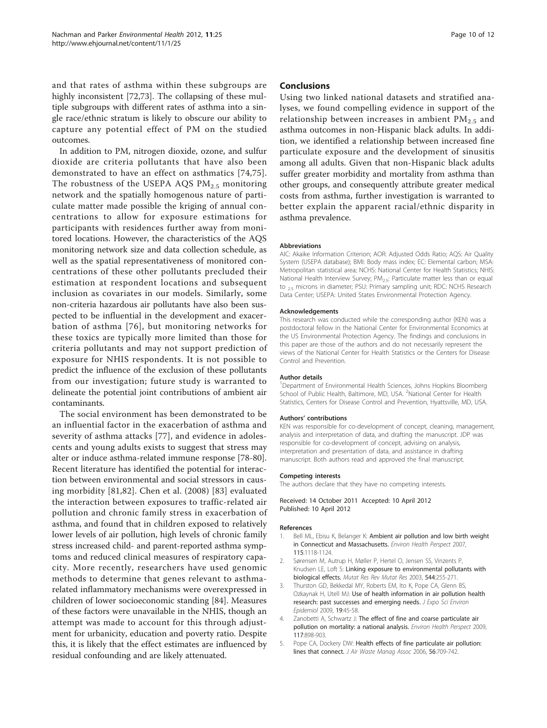<span id="page-9-0"></span>and that rates of asthma within these subgroups are highly inconsistent [[72,73\]](#page-11-0). The collapsing of these multiple subgroups with different rates of asthma into a single race/ethnic stratum is likely to obscure our ability to capture any potential effect of PM on the studied outcomes.

In addition to PM, nitrogen dioxide, ozone, and sulfur dioxide are criteria pollutants that have also been demonstrated to have an effect on asthmatics [[74](#page-11-0),[75](#page-11-0)]. The robustness of the USEPA AQS  $PM_{2.5}$  monitoring network and the spatially homogenous nature of particulate matter made possible the kriging of annual concentrations to allow for exposure estimations for participants with residences further away from monitored locations. However, the characteristics of the AQS monitoring network size and data collection schedule, as well as the spatial representativeness of monitored concentrations of these other pollutants precluded their estimation at respondent locations and subsequent inclusion as covariates in our models. Similarly, some non-criteria hazardous air pollutants have also been suspected to be influential in the development and exacerbation of asthma [[76](#page-11-0)], but monitoring networks for these toxics are typically more limited than those for criteria pollutants and may not support prediction of exposure for NHIS respondents. It is not possible to predict the influence of the exclusion of these pollutants from our investigation; future study is warranted to delineate the potential joint contributions of ambient air contaminants.

The social environment has been demonstrated to be an influential factor in the exacerbation of asthma and severity of asthma attacks [\[77](#page-11-0)], and evidence in adolescents and young adults exists to suggest that stress may alter or induce asthma-related immune response [[78-80](#page-11-0)]. Recent literature has identified the potential for interaction between environmental and social stressors in causing morbidity [[81,82](#page-11-0)]. Chen et al. (2008) [\[83\]](#page-11-0) evaluated the interaction between exposures to traffic-related air pollution and chronic family stress in exacerbation of asthma, and found that in children exposed to relatively lower levels of air pollution, high levels of chronic family stress increased child- and parent-reported asthma symptoms and reduced clinical measures of respiratory capacity. More recently, researchers have used genomic methods to determine that genes relevant to asthmarelated inflammatory mechanisms were overexpressed in children of lower socioeconomic standing [[84](#page-11-0)]. Measures of these factors were unavailable in the NHIS, though an attempt was made to account for this through adjustment for urbanicity, education and poverty ratio. Despite this, it is likely that the effect estimates are influenced by residual confounding and are likely attenuated.

#### Conclusions

Using two linked national datasets and stratified analyses, we found compelling evidence in support of the relationship between increases in ambient  $PM_{2.5}$  and asthma outcomes in non-Hispanic black adults. In addition, we identified a relationship between increased fine particulate exposure and the development of sinusitis among all adults. Given that non-Hispanic black adults suffer greater morbidity and mortality from asthma than other groups, and consequently attribute greater medical costs from asthma, further investigation is warranted to better explain the apparent racial/ethnic disparity in asthma prevalence.

#### Abbreviations

AIC: Akaike Information Criterion; AOR: Adjusted Odds Ratio; AQS: Air Quality System (USEPA database); BMI: Body mass index; EC: Elemental carbon; MSA: Metropolitan statistical area; NCHS: National Center for Health Statistics; NHIS: National Health Interview Survey; PM2.5: Particulate matter less than or equal to 2.5 microns in diameter; PSU: Primary sampling unit; RDC: NCHS Research Data Center; USEPA: United States Environmental Protection Agency.

#### Acknowledgements

This research was conducted while the corresponding author (KEN) was a postdoctoral fellow in the National Center for Environmental Economics at the US Environmental Protection Agency. The findings and conclusions in this paper are those of the authors and do not necessarily represent the views of the National Center for Health Statistics or the Centers for Disease Control and Prevention.

#### Author details

<sup>1</sup>Department of Environmental Health Sciences, Johns Hopkins Bloomberg School of Public Health, Baltimore, MD, USA. <sup>2</sup>National Center for Health Statistics, Centers for Disease Control and Prevention, Hyattsville, MD, USA.

#### Authors' contributions

KEN was responsible for co-development of concept, cleaning, management, analysis and interpretation of data, and drafting the manuscript. JDP was responsible for co-development of concept, advising on analysis, interpretation and presentation of data, and assistance in drafting manuscript. Both authors read and approved the final manuscript.

#### Competing interests

The authors declare that they have no competing interests.

#### Received: 14 October 2011 Accepted: 10 April 2012 Published: 10 April 2012

#### References

- 1. Bell ML, Ebisu K, Belanger K: [Ambient air pollution and low birth weight](http://www.ncbi.nlm.nih.gov/pubmed/17637932?dopt=Abstract) [in Connecticut and Massachusetts.](http://www.ncbi.nlm.nih.gov/pubmed/17637932?dopt=Abstract) Environ Health Perspect 2007, 115:1118-1124.
- 2. Sørensen M, Autrup H, Møller P, Hertel O, Jensen SS, Vinzents P, Knudsen LE, Loft S: Linking exposure to environmental pollutants with biological effects. Mutat Res Rev Mutat Res 2003, 544:255-271.
- 3. Thurston GD, Bekkedal MY, Roberts EM, Ito K, Pope CA, Glenn BS, Ozkaynak H, Utell MJ: [Use of health information in air pollution health](http://www.ncbi.nlm.nih.gov/pubmed/18781194?dopt=Abstract) [research: past successes and emerging needs.](http://www.ncbi.nlm.nih.gov/pubmed/18781194?dopt=Abstract) J Expo Sci Environ Epidemiol 2009, 19:45-58.
- Zanobetti A, Schwartz J: [The effect of fine and coarse particulate air](http://www.ncbi.nlm.nih.gov/pubmed/19590680?dopt=Abstract) [pollution on mortality: a national analysis.](http://www.ncbi.nlm.nih.gov/pubmed/19590680?dopt=Abstract) Environ Health Perspect 2009, 117:898-903.
- 5. Pope CA, Dockery DW: [Health effects of fine particulate air pollution:](http://www.ncbi.nlm.nih.gov/pubmed/16805397?dopt=Abstract) [lines that connect.](http://www.ncbi.nlm.nih.gov/pubmed/16805397?dopt=Abstract) J Air Waste Manag Assoc 2006, 56:709-742.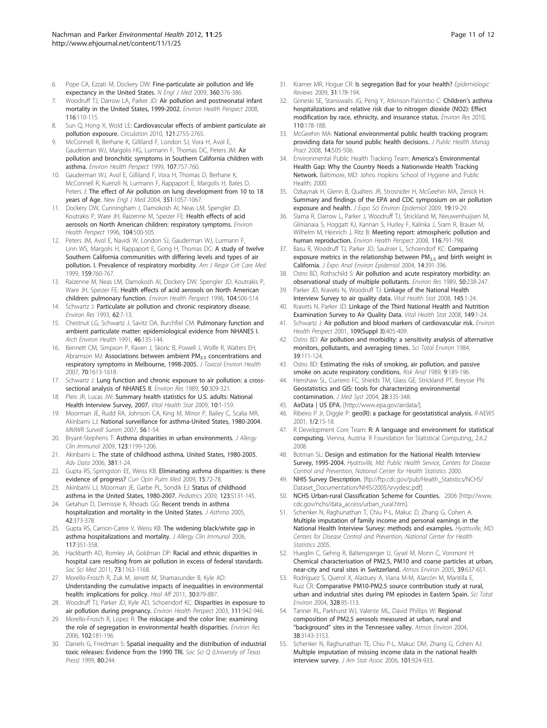- <span id="page-10-0"></span>6. Pope CA, Ezzati M, Dockery DW: [Fine-particulate air pollution and life](http://www.ncbi.nlm.nih.gov/pubmed/19164188?dopt=Abstract) [expectancy in the United States.](http://www.ncbi.nlm.nih.gov/pubmed/19164188?dopt=Abstract) N Engl J Med 2009, 360:376-386.
- 7. Woodruff TJ, Darrow LA, Parker JD: [Air pollution and postneonatal infant](http://www.ncbi.nlm.nih.gov/pubmed/18197308?dopt=Abstract) [mortality in the United States, 1999-2002.](http://www.ncbi.nlm.nih.gov/pubmed/18197308?dopt=Abstract) Environ Health Perspect 2008, 116:110-115.
- 8. Sun Q, Hong X, Wold LE: [Cardiovascular effects of ambient particulate air](http://www.ncbi.nlm.nih.gov/pubmed/20585020?dopt=Abstract) [pollution exposure.](http://www.ncbi.nlm.nih.gov/pubmed/20585020?dopt=Abstract) Circulation 2010, 121:2755-2765.
- 9. McConnell R, Berhane K, Gilliland F, London SJ, Vora H, Avol E, Gauderman WJ, Margolis HG, Lurmann F, Thomas DC, Peters JM: [Air](http://www.ncbi.nlm.nih.gov/pubmed/10464077?dopt=Abstract) [pollution and bronchitic symptoms in Southern California children with](http://www.ncbi.nlm.nih.gov/pubmed/10464077?dopt=Abstract) [asthma.](http://www.ncbi.nlm.nih.gov/pubmed/10464077?dopt=Abstract) Environ Health Perspect 1999, 107:757-760.
- 10. Gauderman WJ, Avol E, Gilliland F, Vora H, Thomas D, Berhane K, McConnell R, Kuenzli N, Lurmann F, Rappaport E, Margolis H, Bates D, Peters J: [The effect of Air pollution on lung development from 10 to 18](http://www.ncbi.nlm.nih.gov/pubmed/15356303?dopt=Abstract) [years of Age.](http://www.ncbi.nlm.nih.gov/pubmed/15356303?dopt=Abstract) New Engl J Med 2004, 351:1057-1067.
- 11. Dockery DW, Cunningham J, Damokosh AI, Neas LM, Spengler JD, Koutrakis P, Ware JH, Raizenne M, Speizer FE: [Health effects of acid](http://www.ncbi.nlm.nih.gov/pubmed/8743437?dopt=Abstract) [aerosols on North American children: respiratory symptoms.](http://www.ncbi.nlm.nih.gov/pubmed/8743437?dopt=Abstract) Environ Health Perspect 1996, 104:500-505.
- 12. Peters JM, Avol E, Navidi W, London SJ, Gauderman WJ, Lurmann F, Linn WS, Margolis H, Rappaport E, Gong H, Thomas DC: [A study of twelve](http://www.ncbi.nlm.nih.gov/pubmed/10051248?dopt=Abstract) [Southern California communities with differing levels and types of air](http://www.ncbi.nlm.nih.gov/pubmed/10051248?dopt=Abstract) [pollution. I. Prevalence of respiratory morbidity.](http://www.ncbi.nlm.nih.gov/pubmed/10051248?dopt=Abstract) Am J Respir Crit Care Med 1999, 159:760-767.
- 13. Raizenne M, Neas LM, Damokosh AI, Dockery DW, Spengler JD, Koutrakis P, Ware JH, Speizer FE: [Health effects of acid aerosols on North American](http://www.ncbi.nlm.nih.gov/pubmed/8743438?dopt=Abstract) [children: pulmonary function.](http://www.ncbi.nlm.nih.gov/pubmed/8743438?dopt=Abstract) Environ Health Perspect 1996, 104:506-514.
- 14. Schwartz J: [Particulate air pollution and chronic respiratory disease.](http://www.ncbi.nlm.nih.gov/pubmed/8325268?dopt=Abstract) Environ Res 1993, 62:7-13.
- 15. Chestnut LG, Schwartz J, Savitz DA, Burchfiel CM: [Pulmonary function and](http://www.ncbi.nlm.nih.gov/pubmed/2039267?dopt=Abstract) [ambient particulate matter: epidemiological evidence from NHANES I.](http://www.ncbi.nlm.nih.gov/pubmed/2039267?dopt=Abstract) Arch Environ Health 1991, 46:135-144.
- 16. Bennett CM, Simpson P, Raven J, Skoric B, Powell J, Wolfe R, Walters EH, Abramson MJ: Associations between ambient PM<sub>2.5</sub> concentrations and respiratory symptoms in Melbourne, 1998-2005. J Toxicol Environ Health 2007, 70:1613-1618.
- 17. Schwartz J: [Lung function and chronic exposure to air pollution: a cross](http://www.ncbi.nlm.nih.gov/pubmed/2583077?dopt=Abstract)[sectional analysis of NHANES II.](http://www.ncbi.nlm.nih.gov/pubmed/2583077?dopt=Abstract) Environ Res 1989, 50:309-321.
- 18. Pleis JR, Lucas JW: Summary health statistics for U.S. adults: National Health Interview Survey, 2007. Vital Health Stat 2009, 10:1-159.
- 19. Moorman JE, Rudd RA, Johnson CA, King M, Minor P, Bailey C, Scalia MR, Akinbami LJ: [National surveillance for asthma-United States, 1980-2004.](http://www.ncbi.nlm.nih.gov/pubmed/18075488?dopt=Abstract) MMWR Surveill Summ 2007, 56:1-54.
- 20. Bryant-Stephens T: [Asthma disparities in urban environments.](http://www.ncbi.nlm.nih.gov/pubmed/19501229?dopt=Abstract) J Allergy Clin Immunol 2009, 123:1199-1206.
- 21. Akinbami L: [The state of childhood asthma, United States, 1980-2005.](http://www.ncbi.nlm.nih.gov/pubmed/17180851?dopt=Abstract) Adv Data 2006, 381:1-24.
- 22. Gupta RS, Springston EE, Weiss KB: [Eliminating asthma disparities: is there](http://www.ncbi.nlm.nih.gov/pubmed/19077709?dopt=Abstract) [evidence of progress?](http://www.ncbi.nlm.nih.gov/pubmed/19077709?dopt=Abstract) Curr Opin Pulm Med 2009, 15:72-78.
- 23. Akinbami LJ, Moorman JE, Garbe PL, Sondik EJ: [Status of childhood](http://www.ncbi.nlm.nih.gov/pubmed/19221156?dopt=Abstract) [asthma in the United States, 1980-2007.](http://www.ncbi.nlm.nih.gov/pubmed/19221156?dopt=Abstract) Pediatrics 2009, 123:S131-145.
- 24. Getahun D, Demissie K, Rhoads GG: [Recent trends in asthma](http://www.ncbi.nlm.nih.gov/pubmed/16036412?dopt=Abstract) [hospitalization and mortality in the United States.](http://www.ncbi.nlm.nih.gov/pubmed/16036412?dopt=Abstract) J Asthma 2005 42:373-378.
- 25. Gupta RS, Carrion-Carire V, Weiss KB: [The widening black/white gap in](http://www.ncbi.nlm.nih.gov/pubmed/16461136?dopt=Abstract) [asthma hospitalizations and mortality.](http://www.ncbi.nlm.nih.gov/pubmed/16461136?dopt=Abstract) J Allergy Clin Immunol 2006, 117:351-358.
- 26. Hackbarth AD, Romley JA, Goldman DP: [Racial and ethnic disparities in](http://www.ncbi.nlm.nih.gov/pubmed/21893376?dopt=Abstract) [hospital care resulting from air pollution in excess of federal standards.](http://www.ncbi.nlm.nih.gov/pubmed/21893376?dopt=Abstract) Soc Sci Med 2011, 73:1163-1168.
- 27. Morello-Frosch R, Zuk M, Jerrett M, Shamasunder B, Kyle AD: Understanding the cumulative impacts of inequalities in environmental health: implications for policy. Heal Aff 2011, 30:879-887.
- 28. Woodruff TJ, Parker JD, Kyle AD, Schoendorf KC: [Disparities in exposure to](http://www.ncbi.nlm.nih.gov/pubmed/12782496?dopt=Abstract) [air pollution during pregnancy.](http://www.ncbi.nlm.nih.gov/pubmed/12782496?dopt=Abstract) Environ Health Perspect 2003, 111:942-946.
- 29. Morello-Frosch R, Lopez R: [The riskscape and the color line: examining](http://www.ncbi.nlm.nih.gov/pubmed/16828737?dopt=Abstract) [the role of segregation in environmental health disparities.](http://www.ncbi.nlm.nih.gov/pubmed/16828737?dopt=Abstract) Environ Res 2006, 102:181-196.
- 30. Daniels G, Friedman S: Spatial inequality and the distribution of industrial toxic releases: Evidence from the 1990 TRI. Soc Sci Q (University of Texas Press) 1999, 80:244.
- 31. Kramer MR, Hogue CR: [Is segregation Bad for your health?](http://www.ncbi.nlm.nih.gov/pubmed/19465747?dopt=Abstract) Epidemiologic Reviews 2009, 31:178-194.
- 32. Grineski SE, Staniswalis JG, Peng Y, Atkinson-Palombo C: Children'[s asthma](http://www.ncbi.nlm.nih.gov/pubmed/19944410?dopt=Abstract) [hospitalizations and relative risk due to nitrogen dioxide \(NO2\): Effect](http://www.ncbi.nlm.nih.gov/pubmed/19944410?dopt=Abstract) [modification by race, ethnicity, and insurance status.](http://www.ncbi.nlm.nih.gov/pubmed/19944410?dopt=Abstract) Environ Res 2010, 110:178-188.
- 33. McGeehin MA: [National environmental public health tracking program:](http://www.ncbi.nlm.nih.gov/pubmed/18849769?dopt=Abstract) [providing data for sound public health decisions.](http://www.ncbi.nlm.nih.gov/pubmed/18849769?dopt=Abstract) J Public Health Manag Pract 2008, 14:505-506.
- 34. Environmental Public Health Tracking Team: America's Environmental Health Gap: Why the Country Needs a Nationwide Health Tracking Network. Baltimore, MD: Johns Hopkins School of Hygiene and Public Health; 2000.
- Ozkaynak H, Glenn B, Qualters JR, Strosnider H, McGeehin MA, Zenick H: [Summary and findings of the EPA and CDC symposium on air pollution](http://www.ncbi.nlm.nih.gov/pubmed/18560447?dopt=Abstract) [exposure and health.](http://www.ncbi.nlm.nih.gov/pubmed/18560447?dopt=Abstract) J Expo Sci Environ Epidemiol 2009, 19:19-29.
- 36. Slama R, Darrow L, Parker J, Woodruff TJ, Strickland M, Nieuwenhuijsen M, Glinianaia S, Hoggatt KJ, Kannan S, Hurley F, Kalinka J, Sram R, Brauer M, Wilhelm M, Heinrich J, Ritz B: [Meeting report: atmospheric pollution and](http://www.ncbi.nlm.nih.gov/pubmed/18560536?dopt=Abstract) [human reproduction.](http://www.ncbi.nlm.nih.gov/pubmed/18560536?dopt=Abstract) Environ Health Perspect 2008, 116:791-798.
- 37. Basu R, Woodruff TJ, Parker JD, Saulnier L, Schoendorf KC: [Comparing](http://www.ncbi.nlm.nih.gov/pubmed/15361898?dopt=Abstract) exposure metrics in the relationship between  $PM<sub>2.5</sub>$  [and birth weight in](http://www.ncbi.nlm.nih.gov/pubmed/15361898?dopt=Abstract) [California.](http://www.ncbi.nlm.nih.gov/pubmed/15361898?dopt=Abstract) J Expo Anal Environ Epidemiol 2004, 14:391-396.
- 38. Ostro BD, Rothschild S: [Air pollution and acute respiratory morbidity: an](http://www.ncbi.nlm.nih.gov/pubmed/2583069?dopt=Abstract) [observational study of multiple pollutants.](http://www.ncbi.nlm.nih.gov/pubmed/2583069?dopt=Abstract) Environ Res 1989, 50:238-247.
- 39. Parker JD, Kravets N, Woodruff TJ: Linkage of the National Health Interview Survey to air quality data. Vital Health Stat 2008, 145:1-24.
- 40. Kravets N, Parker JD: Linkage of the Third National Health and Nutrition Examination Survey to Air Quality Data. Vital Health Stat 2008, 149:1-24.
- 41. Schwartz J: [Air pollution and blood markers of cardiovascular risk.](http://www.ncbi.nlm.nih.gov/pubmed/11427390?dopt=Abstract) Environ Health Perspect 2001, 109(Suppl 3):405-409.
- 42. Ostro BD: [Air pollution and morbidity: a sensitivity analysis of alternative](http://www.ncbi.nlm.nih.gov/pubmed/6335603?dopt=Abstract) [monitors, pollutants, and averaging times.](http://www.ncbi.nlm.nih.gov/pubmed/6335603?dopt=Abstract) Sci Total Environ 1984, 39:111-124.
- 43. Ostro BD: [Estimating the risks of smoking, air pollution, and passive](http://www.ncbi.nlm.nih.gov/pubmed/2762605?dopt=Abstract) [smoke on acute respiratory conditions.](http://www.ncbi.nlm.nih.gov/pubmed/2762605?dopt=Abstract) Risk Anal 1989, 9:189-196.
- 44. Henshaw SL, Curriero FC, Shields TM, Glass GE, Strickland PT, Breysse PN: [Geostatistics and GIS: tools for characterizing environmental](http://www.ncbi.nlm.nih.gov/pubmed/15366239?dopt=Abstract) [contamination.](http://www.ncbi.nlm.nih.gov/pubmed/15366239?dopt=Abstract) J Med Syst 2004, 28:335-348.
- 45. AirData | US EPA. [<http://www.epa.gov/airdata/>].
- 46. Ribeiro P Jr, Diggle P: geo{R}: a package for geostatistical analysis. R-NEWS 2001, 1/2:15-18.
- 47. R Development Core Team: R: A language and environment for statistical computing. Vienna, Austria: R Foundation for Statistical Computing;, 2.6.2 2008.
- 48. Botman SL: Design and estimation for the National Health Interview Survey, 1995-2004. Hyattsville, Md: Public Health Service, Centers for Disease Control and Prevention, National Center for Health Statistics 2000.
- 49. NHIS Survey Description. [\[ftp://ftp.cdc.gov/pub/Health\\_Statistics/NCHS/](ftp://ftp.cdc.gov/pub/Health_Statistics/NCHS/Dataset_Documentation/NHIS/2005/srvydesc.pdf) [Dataset\\_Documentation/NHIS/2005/srvydesc.pdf](ftp://ftp.cdc.gov/pub/Health_Statistics/NCHS/Dataset_Documentation/NHIS/2005/srvydesc.pdf)].
- 50. NCHS Urban-rural Classification Scheme for Counties. 2006 [[http://www.](http://www.cdc.gov/nchs/data_access/urban_rural.htm) [cdc.gov/nchs/data\\_access/urban\\_rural.htm\]](http://www.cdc.gov/nchs/data_access/urban_rural.htm).
- 51. Schenker N, Raghunathan T, Chiu P-L, Makuc D, Zhang G, Cohen A: Multiple imputation of family income and personal earnings in the National Health Interview Survey: methods and examples. Hyattsville, MD: Centers for Disease Control and Prevention, National Center for Health Statistics 2005.
- 52. Hueglin C, Gehrig R, Baltensperger U, Gysel M, Monn C, Vonmont H: Chemical characterisation of PM2.5, PM10 and coarse particles at urban, near-city and rural sites in Switzerland. Atmos Environ 2005, 39:637-651.
- 53. Rodríguez S, Querol X, Alastuey A, Viana M-M, Alarcón M, Mantilla E, Ruiz CR: [Comparative PM10-PM2.5 source contribution study at rural,](http://www.ncbi.nlm.nih.gov/pubmed/15207576?dopt=Abstract) [urban and industrial sites during PM episodes in Eastern Spain.](http://www.ncbi.nlm.nih.gov/pubmed/15207576?dopt=Abstract) Sci Total Environ 2004, 328:95-113.
- Tanner RL, Parkhurst WJ, Valente ML, David Phillips W: Regional composition of PM2.5 aerosols measured at urban, rural and "background" sites in the Tennessee valley. Atmos Environ 2004, 38:3143-3153.
- 55. Schenker N, Raghunathan TE, Chiu P-L, Makuc DM, Zhang G, Cohen AJ: Multiple imputation of missing income data in the national health interview survey. J Am Stat Assoc 2006, 101:924-933.